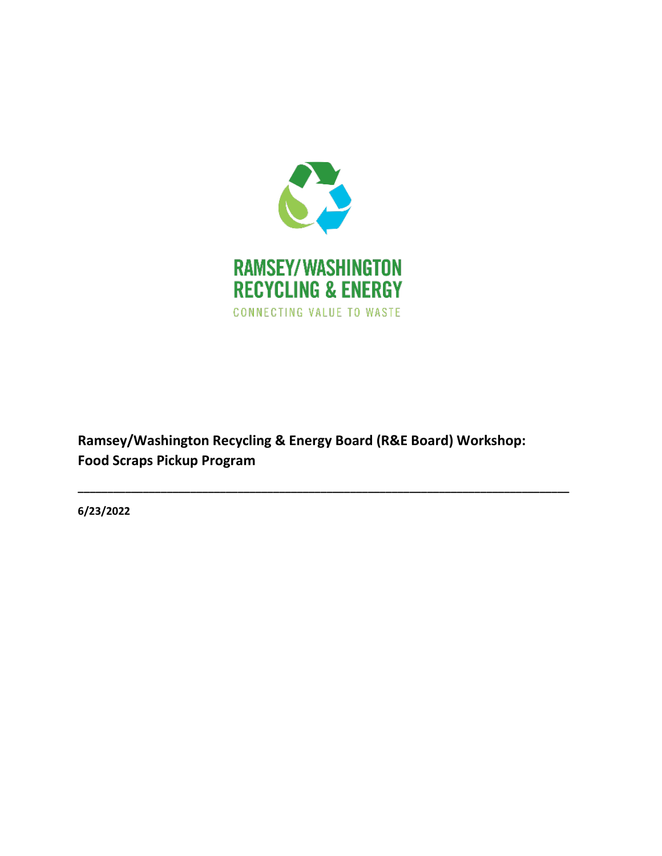

**Ramsey/Washington Recycling & Energy Board (R&E Board) Workshop: Food Scraps Pickup Program**

**\_\_\_\_\_\_\_\_\_\_\_\_\_\_\_\_\_\_\_\_\_\_\_\_\_\_\_\_\_\_\_\_\_\_\_\_\_\_\_\_\_\_\_\_\_\_\_\_\_\_\_\_\_\_\_\_\_\_\_\_\_\_\_\_\_\_\_\_\_\_\_\_\_\_\_\_\_\_\_\_\_\_\_**

**6/23/2022**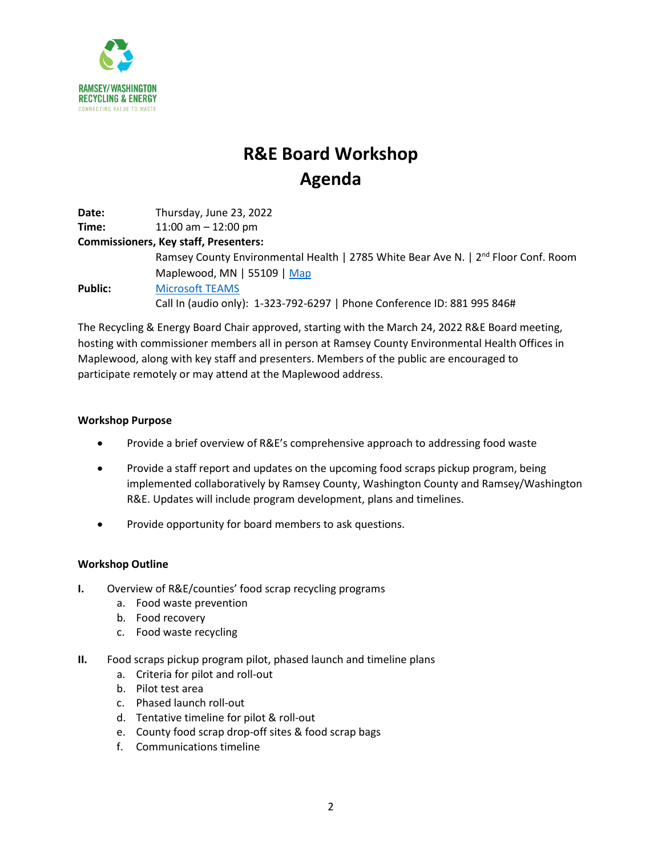

# **R&E Board Workshop Agenda**

**Date:** Thursday, June 23, 2022 **Time:** 11:00 am – 12:00 pm **Commissioners, Key staff, Presenters:** Ramsey County Environmental Health | 2785 White Bear Ave N. | 2<sup>nd</sup> Floor Conf. Room Maplewood, MN | 55109 | [Map](https://www.google.com/maps/place/Hazelwood+Professional+Center+-+Ramsey+County+Environmental+Health/@45.025155,-93.0200947,395m/data=!3m2!1e3!4b1!4m5!3m4!1s0x52b2d3f0ae809123:0x755216a02e858cb!8m2!3d45.0251831!4d-93.0189452) **Public:** [Microsoft TEAMS](https://teams.microsoft.com/l/meetup-join/19%3ameeting_NmZhZTM0ZjYtZTRlMC00MmRmLThjYzEtMWIyZDM4NWJkOThh%40thread.v2/0?context=%7b%22Tid%22%3a%225d850006-8872-4637-830c-ab1fff1d93b2%22%2c%22Oid%22%3a%2219bd4398-a87d-4dfd-a958-407261e00780%22%7d) Call In (audio only): 1-323-792-6297 | Phone Conference ID: 881 995 846#

The Recycling & Energy Board Chair approved, starting with the March 24, 2022 R&E Board meeting, hosting with commissioner members all in person at Ramsey County Environmental Health Offices in Maplewood, along with key staff and presenters. Members of the public are encouraged to participate remotely or may attend at the Maplewood address.

### **Workshop Purpose**

- Provide a brief overview of R&E's comprehensive approach to addressing food waste
- Provide a staff report and updates on the upcoming food scraps pickup program, being implemented collaboratively by Ramsey County, Washington County and Ramsey/Washington R&E. Updates will include program development, plans and timelines.
- Provide opportunity for board members to ask questions.

### **Workshop Outline**

- **I.** Overview of R&E/counties' food scrap recycling programs
	- a. Food waste prevention
	- b. Food recovery
	- c. Food waste recycling
- **II.** Food scraps pickup program pilot, phased launch and timeline plans
	- a. Criteria for pilot and roll-out
	- b. Pilot test area
	- c. Phased launch roll-out
	- d. Tentative timeline for pilot & roll-out
	- e. County food scrap drop-off sites & food scrap bags
	- f. Communications timeline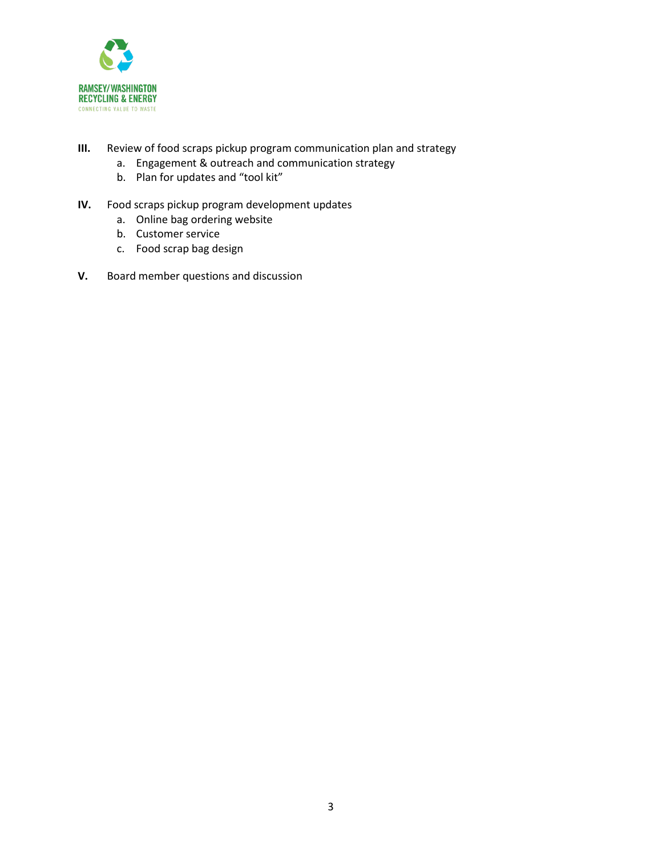

- **III.** Review of food scraps pickup program communication plan and strategy
	- a. Engagement & outreach and communication strategy
	- b. Plan for updates and "tool kit"
- **IV.** Food scraps pickup program development updates
	- a. Online bag ordering website
	- b. Customer service
	- c. Food scrap bag design
- **V.** Board member questions and discussion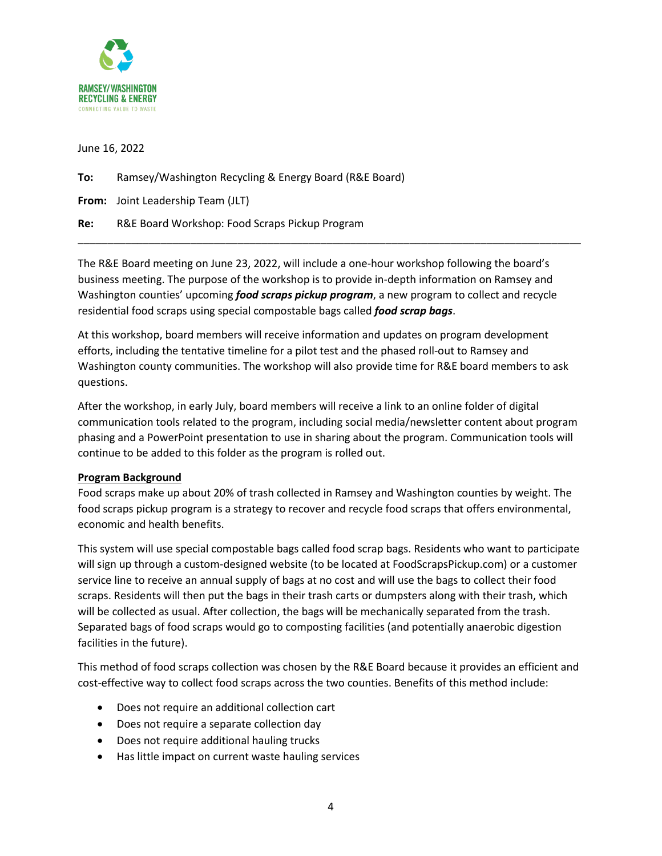

June 16, 2022

## **To:** Ramsey/Washington Recycling & Energy Board (R&E Board)

**From:** Joint Leadership Team (JLT)

**Re:** R&E Board Workshop: Food Scraps Pickup Program

The R&E Board meeting on June 23, 2022, will include a one-hour workshop following the board's business meeting. The purpose of the workshop is to provide in-depth information on Ramsey and Washington counties' upcoming *food scraps pickup program*, a new program to collect and recycle residential food scraps using special compostable bags called *food scrap bags*.

\_\_\_\_\_\_\_\_\_\_\_\_\_\_\_\_\_\_\_\_\_\_\_\_\_\_\_\_\_\_\_\_\_\_\_\_\_\_\_\_\_\_\_\_\_\_\_\_\_\_\_\_\_\_\_\_\_\_\_\_\_\_\_\_\_\_\_\_\_\_\_\_\_\_\_\_\_\_\_\_\_\_\_\_\_

At this workshop, board members will receive information and updates on program development efforts, including the tentative timeline for a pilot test and the phased roll-out to Ramsey and Washington county communities. The workshop will also provide time for R&E board members to ask questions.

After the workshop, in early July, board members will receive a link to an online folder of digital communication tools related to the program, including social media/newsletter content about program phasing and a PowerPoint presentation to use in sharing about the program. Communication tools will continue to be added to this folder as the program is rolled out.

### **Program Background**

Food scraps make up about 20% of trash collected in Ramsey and Washington counties by weight. The food scraps pickup program is a strategy to recover and recycle food scraps that offers environmental, economic and health benefits.

This system will use special compostable bags called food scrap bags. Residents who want to participate will sign up through a custom-designed website (to be located at FoodScrapsPickup.com) or a customer service line to receive an annual supply of bags at no cost and will use the bags to collect their food scraps. Residents will then put the bags in their trash carts or dumpsters along with their trash, which will be collected as usual. After collection, the bags will be mechanically separated from the trash. Separated bags of food scraps would go to composting facilities (and potentially anaerobic digestion facilities in the future).

This method of food scraps collection was chosen by the R&E Board because it provides an efficient and cost-effective way to collect food scraps across the two counties. Benefits of this method include:

- Does not require an additional collection cart
- Does not require a separate collection day
- Does not require additional hauling trucks
- Has little impact on current waste hauling services